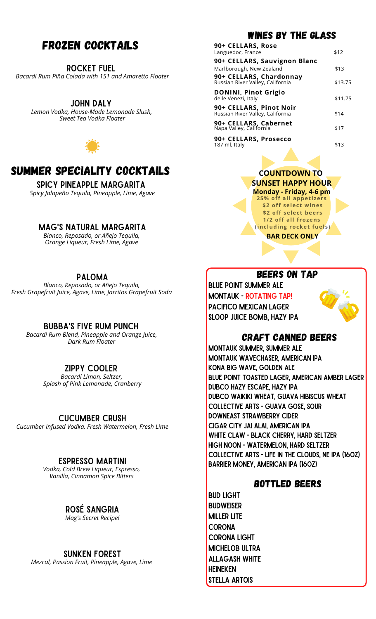# Frozen Cocktails

Rocket Fuel

*Bacardi Rum Piña Colada with 151 and Amaretto Floater*

#### John Daly

*Lemon Vodka, House-Made Lemonade Slush, Sweet Tea Vodka Floater*





Spicy Pineapple Margarita *Spicy Jalapeño Tequila, Pineapple, Lime, Agave*

## Mag's Natural Margarita

*Blanco, Reposado, or Añejo Tequila, Orange Liqueur, Fresh Lime, Agave*

### Paloma

*Blanco, Reposado, or Añejo Tequila, Fresh Grapefruit Juice, Agave, Lime, Jarritos Grapefruit Soda*

Bubba's Five Rum Punch

*Bacardi Rum Blend, Pineapple and Orange Juice, Dark Rum Floater*

# Zippy Cooler

*Bacardi Limon, Seltzer, Splash of Pink Lemonade, Cranberry*

## Cucumber Crush

*Cucumber Infused Vodka, Fresh Watermelon, Fresh Lime*

## Espresso Martini

*Vodka, Cold Brew Liqueur, Espresso, Vanilla, Cinnamon Spice Bitters*

# Rosé Sangria

*Mag's Secret Recipe!*

#### Sunken Forest

*Mezcal, Passion Fruit, Pineapple, Agave, Lime*

# Wines by the glass

| 90+ CELLARS, Rose                                           |         |
|-------------------------------------------------------------|---------|
| Languedoc, France                                           | \$12    |
| 90+ CELLARS, Sauvignon Blanc                                |         |
| Marlborough, New Zealand                                    | \$13    |
| 90+ CELLARS, Chardonnay<br>Russian River Valley, California | \$13.75 |
| <b>DONINI, Pinot Grigio</b><br>delle Venezi, Italy          | \$11.75 |
| 90+ CELLARS, Pinot Noir<br>Russian River Valley, California | \$14    |
| 90+ CELLARS, Cabernet<br>Napa Valley, California            | \$17    |
| 90+ CELLARS, Prosecco<br>187 ml, Italy                      | \$13    |

## **COUNTDOWN TO SUNSET HAPPY HOUR**

**25% off all appet izers \$2 off select wines \$2 off select beers 1/2 off all f rozens (including rocket fuels) Monday - Friday, 4-6 pm**

**BAR DECK ONLY**

# Beers on Tap

Blue Point Summer ale Montauk - Rotating Tap! Pacifico Mexican Lager Sloop Juice Bomb, Hazy IPA



# Craft Canned Beers

Montauk Summer, Summer Ale Montauk Wavechaser, American IPA Kona Big Wave, Golden Ale Blue Point Toasted Lager, American Amber Lager Dubco Hazy Escape, Hazy IPA Dubco Waikiki Wheat, Guava Hibiscus Wheat Collective Arts - Guava Gose, Sour Downeast Strawberry Cider Cigar City Jai Alai, American IPA White Claw - Black Cherry, Hard Seltzer High Noon - Watermelon, Hard Seltzer Collective Arts - Life in the Clouds, NE IPA (16oz) Barrier Money, American IPA (16oz)

# Bottled Beers

Bud light **BUDWEISER** Miller Lite **CORONA** Corona Light Michelob Ultra Allagash White **HEINEKEN** Stella Artois